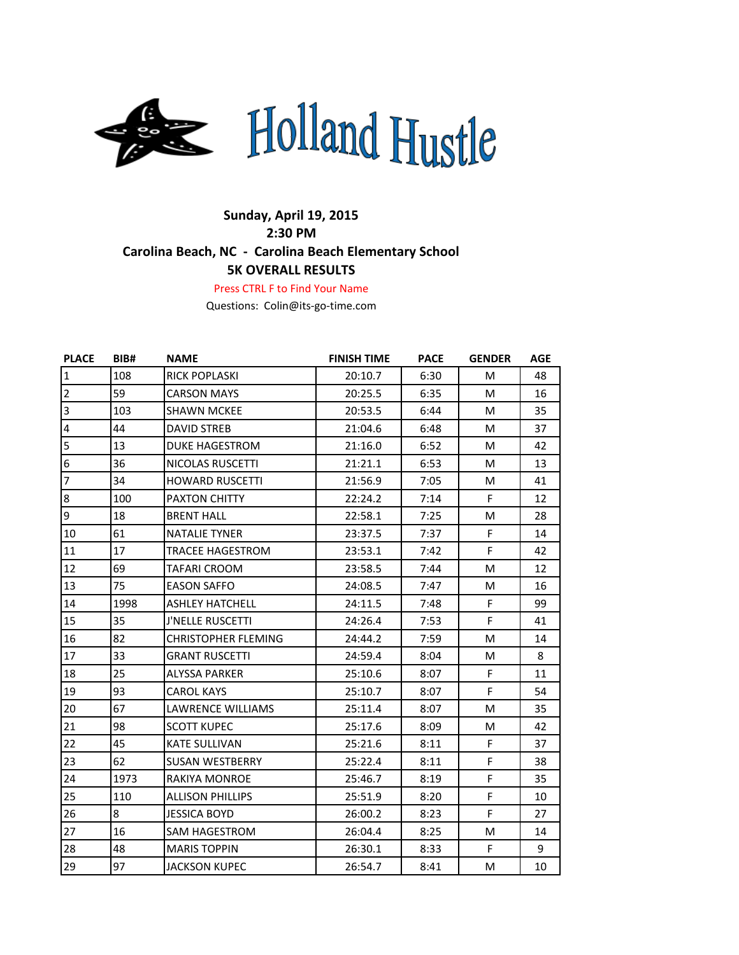

## **Sunday, April 19, 2015 2:30 PM Carolina Beach, NC - Carolina Beach Elementary School 5K OVERALL RESULTS**

Press CTRL F to Find Your Name

Questions: Colin@its-go-time.com

| <b>PLACE</b>            | <b>BIB#</b> | <b>NAME</b>                | <b>FINISH TIME</b> | <b>PACE</b> | <b>GENDER</b> | AGE |
|-------------------------|-------------|----------------------------|--------------------|-------------|---------------|-----|
| $\mathbf 1$             | 108         | <b>RICK POPLASKI</b>       | 20:10.7            | 6:30        | M             | 48  |
| $\overline{2}$          | 59          | <b>CARSON MAYS</b>         | 20:25.5            | 6:35        | M             | 16  |
| $\vert$ 3               | 103         | <b>SHAWN MCKEE</b>         | 20:53.5            | 6:44        | M             | 35  |
| $\overline{\mathbf{4}}$ | 44          | <b>DAVID STREB</b>         | 21:04.6            | 6:48        | M             | 37  |
| $\overline{5}$          | 13          | <b>DUKE HAGESTROM</b>      | 21:16.0            | 6:52        | M             | 42  |
| $6\overline{6}$         | 36          | NICOLAS RUSCETTI           | 21:21.1            | 6:53        | M             | 13  |
| $\overline{7}$          | 34          | <b>HOWARD RUSCETTI</b>     | 21:56.9            | 7:05        | M             | 41  |
| $\boldsymbol{8}$        | 100         | <b>PAXTON CHITTY</b>       | 22:24.2            | 7:14        | F.            | 12  |
| 9                       | 18          | <b>BRENT HALL</b>          | 22:58.1            | 7:25        | M             | 28  |
| 10                      | 61          | <b>NATALIE TYNER</b>       | 23:37.5            | 7:37        | F.            | 14  |
| 11                      | 17          | <b>TRACEE HAGESTROM</b>    | 23:53.1            | 7:42        | F             | 42  |
| 12                      | 69          | <b>TAFARI CROOM</b>        | 23:58.5            | 7:44        | M             | 12  |
| 13                      | 75          | <b>EASON SAFFO</b>         | 24:08.5            | 7:47        | M             | 16  |
| 14                      | 1998        | <b>ASHLEY HATCHELL</b>     | 24:11.5            | 7:48        | F             | 99  |
| 15                      | 35          | <b>J'NELLE RUSCETTI</b>    | 24:26.4            | 7:53        | F             | 41  |
| 16                      | 82          | <b>CHRISTOPHER FLEMING</b> | 24:44.2            | 7:59        | M             | 14  |
| 17                      | 33          | <b>GRANT RUSCETTI</b>      | 24:59.4            | 8:04        | M             | 8   |
| 18                      | 25          | ALYSSA PARKER              | 25:10.6            | 8:07        | F             | 11  |
| 19                      | 93          | <b>CAROL KAYS</b>          | 25:10.7            | 8:07        | F.            | 54  |
| 20                      | 67          | LAWRENCE WILLIAMS          | 25:11.4            | 8:07        | M             | 35  |
| 21                      | 98          | <b>SCOTT KUPEC</b>         | 25:17.6            | 8:09        | M             | 42  |
| 22                      | 45          | <b>KATE SULLIVAN</b>       | 25:21.6            | 8:11        | F.            | 37  |
| 23                      | 62          | <b>SUSAN WESTBERRY</b>     | 25:22.4            | 8:11        | F.            | 38  |
| 24                      | 1973        | <b>RAKIYA MONROE</b>       | 25:46.7            | 8:19        | F             | 35  |
| 25                      | 110         | <b>ALLISON PHILLIPS</b>    | 25:51.9            | 8:20        | F             | 10  |
| 26                      | 8           | <b>JESSICA BOYD</b>        | 26:00.2            | 8:23        | F             | 27  |
| 27                      | 16          | <b>SAM HAGESTROM</b>       | 26:04.4            | 8:25        | M             | 14  |
| 28                      | 48          | <b>MARIS TOPPIN</b>        | 26:30.1            | 8:33        | F             | 9   |
| 29                      | 97          | <b>JACKSON KUPEC</b>       | 26:54.7            | 8:41        | M             | 10  |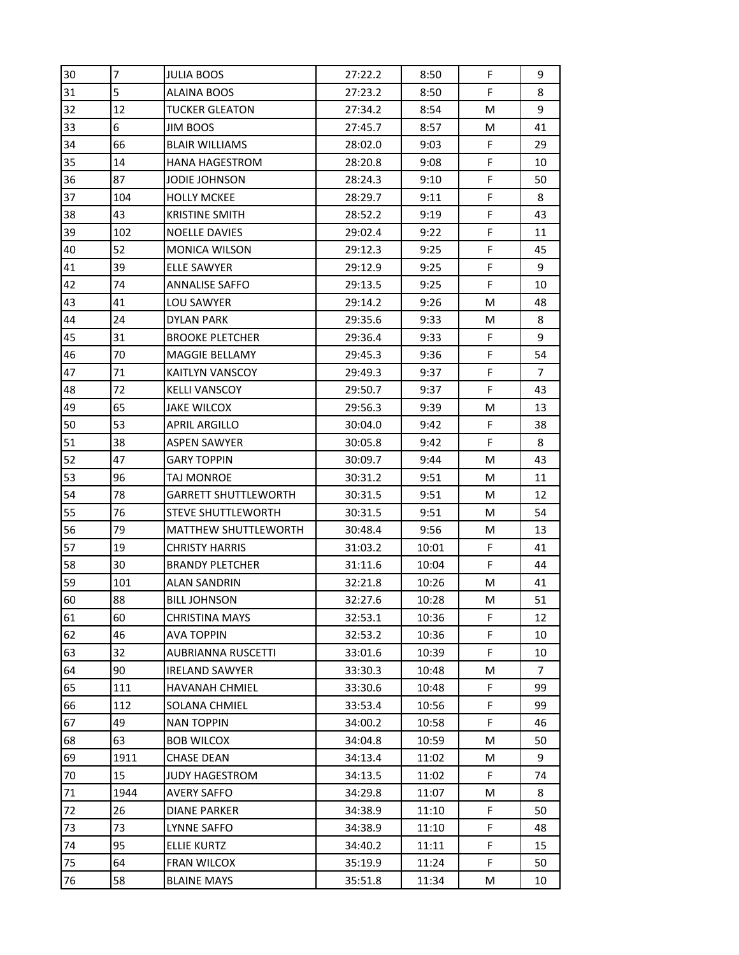| 30 | 7    | <b>JULIA BOOS</b>           | 27:22.2 | 8:50  | F  | 9              |
|----|------|-----------------------------|---------|-------|----|----------------|
| 31 | 5    | <b>ALAINA BOOS</b>          | 27:23.2 | 8:50  | F  | 8              |
| 32 | 12   | <b>TUCKER GLEATON</b>       | 27:34.2 | 8:54  | м  | 9              |
| 33 | 6    | <b>JIM BOOS</b>             | 27:45.7 | 8:57  | М  | 41             |
| 34 | 66   | <b>BLAIR WILLIAMS</b>       | 28:02.0 | 9:03  | F  | 29             |
| 35 | 14   | HANA HAGESTROM              | 28:20.8 | 9:08  | F  | 10             |
| 36 | 87   | <b>JODIE JOHNSON</b>        | 28:24.3 | 9:10  | F  | 50             |
| 37 | 104  | <b>HOLLY MCKEE</b>          | 28:29.7 | 9:11  | F  | 8              |
| 38 | 43   | <b>KRISTINE SMITH</b>       | 28:52.2 | 9:19  | F  | 43             |
| 39 | 102  | <b>NOELLE DAVIES</b>        | 29:02.4 | 9:22  | F  | 11             |
| 40 | 52   | <b>MONICA WILSON</b>        | 29:12.3 | 9:25  | F  | 45             |
| 41 | 39   | <b>ELLE SAWYER</b>          | 29:12.9 | 9:25  | F  | 9              |
| 42 | 74   | ANNALISE SAFFO              | 29:13.5 | 9:25  | F  | 10             |
| 43 | 41   | LOU SAWYER                  | 29:14.2 | 9:26  | M  | 48             |
| 44 | 24   | <b>DYLAN PARK</b>           | 29:35.6 | 9:33  | M  | 8              |
| 45 | 31   | <b>BROOKE PLETCHER</b>      | 29:36.4 | 9:33  | F  | 9              |
| 46 | 70   | MAGGIE BELLAMY              | 29:45.3 | 9:36  | F  | 54             |
| 47 | 71   | KAITLYN VANSCOY             | 29:49.3 | 9:37  | F  | $\overline{7}$ |
| 48 | 72   | <b>KELLI VANSCOY</b>        | 29:50.7 | 9:37  | F  | 43             |
| 49 | 65   | JAKE WILCOX                 | 29:56.3 | 9:39  | М  | 13             |
| 50 | 53   | <b>APRIL ARGILLO</b>        | 30:04.0 | 9:42  | F  | 38             |
| 51 | 38   | <b>ASPEN SAWYER</b>         | 30:05.8 | 9:42  | F  | 8              |
| 52 | 47   | <b>GARY TOPPIN</b>          | 30:09.7 | 9:44  | м  | 43             |
| 53 | 96   | TAJ MONROE                  | 30:31.2 | 9:51  | м  | 11             |
| 54 | 78   | <b>GARRETT SHUTTLEWORTH</b> | 30:31.5 | 9:51  | M  | 12             |
| 55 | 76   | <b>STEVE SHUTTLEWORTH</b>   | 30:31.5 | 9:51  | М  | 54             |
| 56 | 79   | <b>MATTHEW SHUTTLEWORTH</b> | 30:48.4 | 9:56  | М  | 13             |
| 57 | 19   | <b>CHRISTY HARRIS</b>       | 31:03.2 | 10:01 | F  | 41             |
| 58 | 30   | <b>BRANDY PLETCHER</b>      | 31:11.6 | 10:04 | F  | 44             |
| 59 | 101  | <b>ALAN SANDRIN</b>         | 32:21.8 | 10:26 | M  | 41             |
| 60 | 88   | <b>BILL JOHNSON</b>         | 32:27.6 | 10:28 | M  | 51             |
| 61 | 60   | CHRISTINA MAYS              | 32:53.1 | 10:36 | F  | 12             |
| 62 | 46   | <b>AVA TOPPIN</b>           | 32:53.2 | 10:36 | F  | 10             |
| 63 | 32   | AUBRIANNA RUSCETTI          | 33:01.6 | 10:39 | F  | 10             |
| 64 | 90   | <b>IRELAND SAWYER</b>       | 33:30.3 | 10:48 | M  | 7              |
| 65 | 111  | <b>HAVANAH CHMIEL</b>       | 33:30.6 | 10:48 | F. | 99             |
| 66 | 112  | SOLANA CHMIEL               | 33:53.4 | 10:56 | F  | 99             |
| 67 | 49   | <b>NAN TOPPIN</b>           | 34:00.2 | 10:58 | F. | 46             |
| 68 | 63   | <b>BOB WILCOX</b>           | 34:04.8 | 10:59 | М  | 50             |
| 69 | 1911 | <b>CHASE DEAN</b>           | 34:13.4 | 11:02 | М  | 9              |
| 70 | 15   | <b>JUDY HAGESTROM</b>       | 34:13.5 | 11:02 | F. | 74             |
| 71 | 1944 | <b>AVERY SAFFO</b>          | 34:29.8 | 11:07 | M  | 8              |
| 72 | 26   | DIANE PARKER                | 34:38.9 | 11:10 | F  | 50             |
| 73 | 73   | LYNNE SAFFO                 | 34:38.9 | 11:10 | F. | 48             |
| 74 | 95   | <b>ELLIE KURTZ</b>          | 34:40.2 | 11:11 | F  | 15             |
| 75 | 64   | FRAN WILCOX                 | 35:19.9 | 11:24 | F  | 50             |
| 76 | 58   | <b>BLAINE MAYS</b>          | 35:51.8 | 11:34 | M  | 10             |